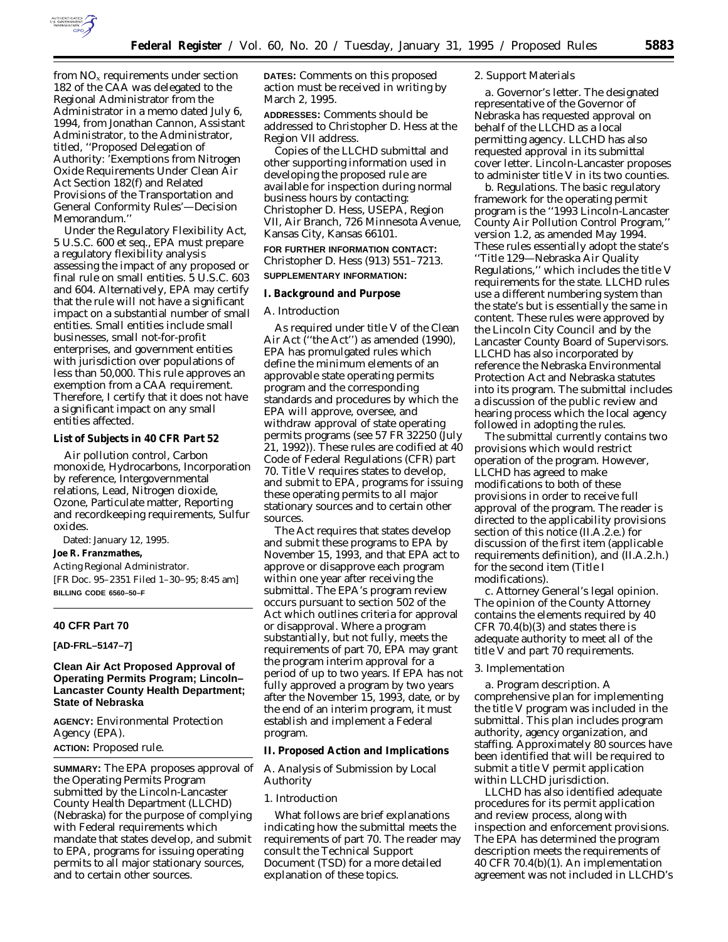

from NOx requirements under section 182 of the CAA was delegated to the Regional Administrator from the Administrator in a memo dated July 6, 1994, from Jonathan Cannon, Assistant Administrator, to the Administrator, titled, ''Proposed Delegation of Authority: 'Exemptions from Nitrogen Oxide Requirements Under Clean Air Act Section 182(f) and Related Provisions of the Transportation and General Conformity Rules'—Decision Memorandum.''

Under the Regulatory Flexibility Act, 5 U.S.C. 600 *et seq.*, EPA must prepare a regulatory flexibility analysis assessing the impact of any proposed or final rule on small entities. 5 U.S.C. 603 and 604. Alternatively, EPA may certify that the rule will not have a significant impact on a substantial number of small entities. Small entities include small businesses, small not-for-profit enterprises, and government entities with jurisdiction over populations of less than 50,000. This rule approves an exemption from a CAA requirement. Therefore, I certify that it does not have a significant impact on any small entities affected.

#### **List of Subjects in 40 CFR Part 52**

Air pollution control, Carbon monoxide, Hydrocarbons, Incorporation by reference, Intergovernmental relations, Lead, Nitrogen dioxide, Ozone, Particulate matter, Reporting and recordkeeping requirements, Sulfur oxides.

Dated: January 12, 1995.

#### **Joe R. Franzmathes,**

*Acting Regional Administrator.* [FR Doc. 95–2351 Filed 1–30–95; 8:45 am] **BILLING CODE 6560–50–F**

#### **40 CFR Part 70**

**[AD-FRL–5147–7]**

# **Clean Air Act Proposed Approval of Operating Permits Program; Lincoln– Lancaster County Health Department; State of Nebraska**

**AGENCY:** Environmental Protection Agency (EPA). **ACTION:** Proposed rule.

**SUMMARY:** The EPA proposes approval of the Operating Permits Program submitted by the Lincoln-Lancaster County Health Department (LLCHD) (Nebraska) for the purpose of complying with Federal requirements which mandate that states develop, and submit to EPA, programs for issuing operating permits to all major stationary sources, and to certain other sources.

**DATES:** Comments on this proposed action must be received in writing by March 2, 1995.

**ADDRESSES:** Comments should be addressed to Christopher D. Hess at the Region VII address.

Copies of the LLCHD submittal and other supporting information used in developing the proposed rule are available for inspection during normal business hours by contacting: Christopher D. Hess, USEPA, Region VII, Air Branch, 726 Minnesota Avenue, Kansas City, Kansas 66101.

**FOR FURTHER INFORMATION CONTACT:** Christopher D. Hess (913) 551–7213. **SUPPLEMENTARY INFORMATION:**

## **I. Background and Purpose**

# *A. Introduction*

As required under title V of the Clean Air Act (''the Act'') as amended (1990), EPA has promulgated rules which define the minimum elements of an approvable state operating permits program and the corresponding standards and procedures by which the EPA will approve, oversee, and withdraw approval of state operating permits programs (see 57 FR 32250 (July 21, 1992)). These rules are codified at 40 Code of Federal Regulations (CFR) part 70. Title V requires states to develop, and submit to EPA, programs for issuing these operating permits to all major stationary sources and to certain other sources.

The Act requires that states develop and submit these programs to EPA by November 15, 1993, and that EPA act to approve or disapprove each program within one year after receiving the submittal. The EPA's program review occurs pursuant to section 502 of the Act which outlines criteria for approval or disapproval. Where a program substantially, but not fully, meets the requirements of part 70, EPA may grant the program interim approval for a period of up to two years. If EPA has not fully approved a program by two years after the November 15, 1993, date, or by the end of an interim program, it must establish and implement a Federal program.

## **II. Proposed Action and Implications**

#### *A. Analysis of Submission by Local Authority*

#### 1. Introduction

What follows are brief explanations indicating how the submittal meets the requirements of part 70. The reader may consult the Technical Support Document (TSD) for a more detailed explanation of these topics.

## 2. Support Materials

*a. Governor's letter.* The designated representative of the Governor of Nebraska has requested approval on behalf of the LLCHD as a local permitting agency. LLCHD has also requested approval in its submittal cover letter. Lincoln-Lancaster proposes to administer title V in its two counties.

*b. Regulations.* The basic regulatory framework for the operating permit program is the ''1993 Lincoln-Lancaster County Air Pollution Control Program,'' version 1.2, as amended May 1994. These rules essentially adopt the state's ''Title 129—Nebraska Air Quality Regulations,'' which includes the title V requirements for the state. LLCHD rules use a different numbering system than the state's but is essentially the same in content. These rules were approved by the Lincoln City Council and by the Lancaster County Board of Supervisors. LLCHD has also incorporated by reference the Nebraska Environmental Protection Act and Nebraska statutes into its program. The submittal includes a discussion of the public review and hearing process which the local agency followed in adopting the rules.

The submittal currently contains two provisions which would restrict operation of the program. However, LLCHD has agreed to make modifications to both of these provisions in order to receive full approval of the program. The reader is directed to the applicability provisions section of this notice (II.A.2.e.) for discussion of the first item (applicable requirements definition), and (II.A.2.h.) for the second item (Title I modifications).

*c. Attorney General's legal opinion.* The opinion of the County Attorney contains the elements required by 40 CFR  $70.4(b)(3)$  and states there is adequate authority to meet all of the title V and part 70 requirements.

#### 3. Implementation

*a. Program description.* A comprehensive plan for implementing the title V program was included in the submittal. This plan includes program authority, agency organization, and staffing. Approximately 80 sources have been identified that will be required to submit a title V permit application within LLCHD jurisdiction.

LLCHD has also identified adequate procedures for its permit application and review process, along with inspection and enforcement provisions. The EPA has determined the program description meets the requirements of 40 CFR 70.4(b)(1). An implementation agreement was not included in LLCHD's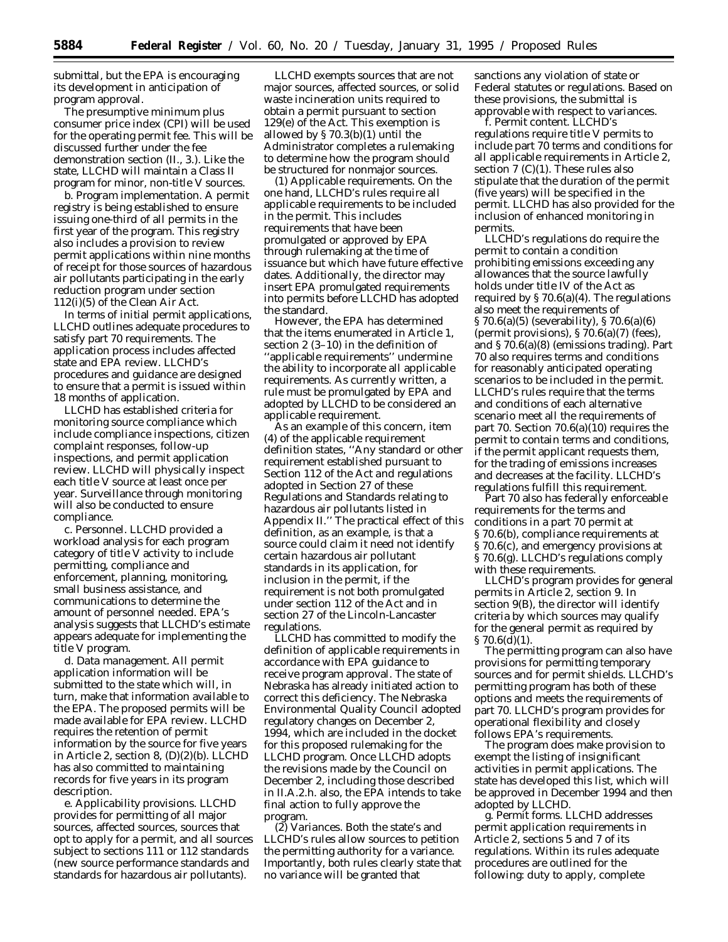submittal, but the EPA is encouraging its development in anticipation of program approval.

The presumptive minimum plus consumer price index (CPI) will be used for the operating permit fee. This will be discussed further under the fee demonstration section (II., 3.). Like the state, LLCHD will maintain a Class II program for minor, non-title V sources.

*b. Program implementation.* A permit registry is being established to ensure issuing one-third of all permits in the first year of the program. This registry also includes a provision to review permit applications within nine months of receipt for those sources of hazardous air pollutants participating in the early reduction program under section 112(i)(5) of the Clean Air Act.

In terms of initial permit applications, LLCHD outlines adequate procedures to satisfy part 70 requirements. The application process includes affected state and EPA review. LLCHD's procedures and guidance are designed to ensure that a permit is issued within 18 months of application.

LLCHD has established criteria for monitoring source compliance which include compliance inspections, citizen complaint responses, follow-up inspections, and permit application review. LLCHD will physically inspect each title V source at least once per year. Surveillance through monitoring will also be conducted to ensure compliance.

*c. Personnel.* LLCHD provided a workload analysis for each program category of title V activity to include permitting, compliance and enforcement, planning, monitoring, small business assistance, and communications to determine the amount of personnel needed. EPA's analysis suggests that LLCHD's estimate appears adequate for implementing the title V program.

*d. Data management.* All permit application information will be submitted to the state which will, in turn, make that information available to the EPA. The proposed permits will be made available for EPA review. LLCHD requires the retention of permit information by the source for five years in Article 2, section 8, (D)(2)(b). LLCHD has also committed to maintaining records for five years in its program description.

*e. Applicability provisions.* LLCHD provides for permitting of all major sources, affected sources, sources that opt to apply for a permit, and all sources subject to sections 111 or 112 standards (new source performance standards and standards for hazardous air pollutants).

LLCHD exempts sources that are not major sources, affected sources, or solid waste incineration units required to obtain a permit pursuant to section 129(e) of the Act. This exemption is allowed by § 70.3(b)(1) until the Administrator completes a rulemaking to determine how the program should be structured for nonmajor sources.

*(1) Applicable requirements.* On the one hand, LLCHD's rules require all applicable requirements to be included in the permit. This includes requirements that have been promulgated or approved by EPA through rulemaking at the time of issuance but which have future effective dates. Additionally, the director may insert EPA promulgated requirements into permits before LLCHD has adopted the standard.

However, the EPA has determined that the items enumerated in Article 1, section 2 (3–10) in the definition of ''applicable requirements'' undermine the ability to incorporate all applicable requirements. As currently written, a rule must be promulgated by EPA *and* adopted by LLCHD to be considered an applicable requirement.

As an example of this concern, item (4) of the applicable requirement definition states, ''Any standard or other requirement established pursuant to Section 112 of the Act *and* regulations adopted in Section 27 of these Regulations and Standards relating to hazardous air pollutants listed in Appendix II.'' The practical effect of this definition, as an example, is that a source could claim it need not identify certain hazardous air pollutant standards in its application, for inclusion in the permit, if the requirement is not both promulgated under section 112 of the Act and in section 27 of the Lincoln-Lancaster regulations.

LLCHD has committed to modify the definition of applicable requirements in accordance with EPA guidance to receive program approval. The state of Nebraska has already initiated action to correct this deficiency. The Nebraska Environmental Quality Council adopted regulatory changes on December 2, 1994, which are included in the docket for this proposed rulemaking for the LLCHD program. Once LLCHD adopts the revisions made by the Council on December 2, including those described in II.A.2.h. also, the EPA intends to take final action to fully approve the program.

*(2) Variances.* Both the state's and LLCHD's rules allow sources to petition the permitting authority for a variance. Importantly, both rules clearly state that no variance will be granted that

sanctions any violation of state or Federal statutes or regulations. Based on these provisions, the submittal is approvable with respect to variances.

*f. Permit content.* LLCHD's regulations require title V permits to include part 70 terms and conditions for all applicable requirements in Article 2, section  $7 (C)(1)$ . These rules also stipulate that the duration of the permit (five years) will be specified in the permit. LLCHD has also provided for the inclusion of enhanced monitoring in permits.

LLCHD's regulations do require the permit to contain a condition prohibiting emissions exceeding any allowances that the source lawfully holds under title IV of the Act as required by  $\S 70.6(a)(4)$ . The regulations also meet the requirements of § 70.6(a)(5) (severability), § 70.6(a)(6) (permit provisions),  $\S 70.6(a)(7)$  (fees), and § 70.6(a)(8) (emissions trading). Part 70 also requires terms and conditions for reasonably anticipated operating scenarios to be included in the permit. LLCHD's rules require that the terms and conditions of each alternative scenario meet all the requirements of part 70. Section 70.6(a)(10) requires the permit to contain terms and conditions, if the permit applicant requests them, for the trading of emissions increases and decreases at the facility. LLCHD's regulations fulfill this requirement.

Part 70 also has federally enforceable requirements for the terms and conditions in a part 70 permit at § 70.6(b), compliance requirements at § 70.6(c), and emergency provisions at § 70.6(g). LLCHD's regulations comply with these requirements.

LLCHD's program provides for general permits in Article 2, section 9. In section 9(B), the director will identify criteria by which sources may qualify for the general permit as required by  $§ 70.6(d)(1).$ 

The permitting program can also have provisions for permitting temporary sources and for permit shields. LLCHD's permitting program has both of these options and meets the requirements of part 70. LLCHD's program provides for operational flexibility and closely follows EPA's requirements.

The program does make provision to exempt the listing of insignificant activities in permit applications. The state has developed this list, which will be approved in December 1994 and then adopted by LLCHD.

*g. Permit forms.* LLCHD addresses permit application requirements in Article 2, sections 5 and 7 of its regulations. Within its rules adequate procedures are outlined for the following: duty to apply, complete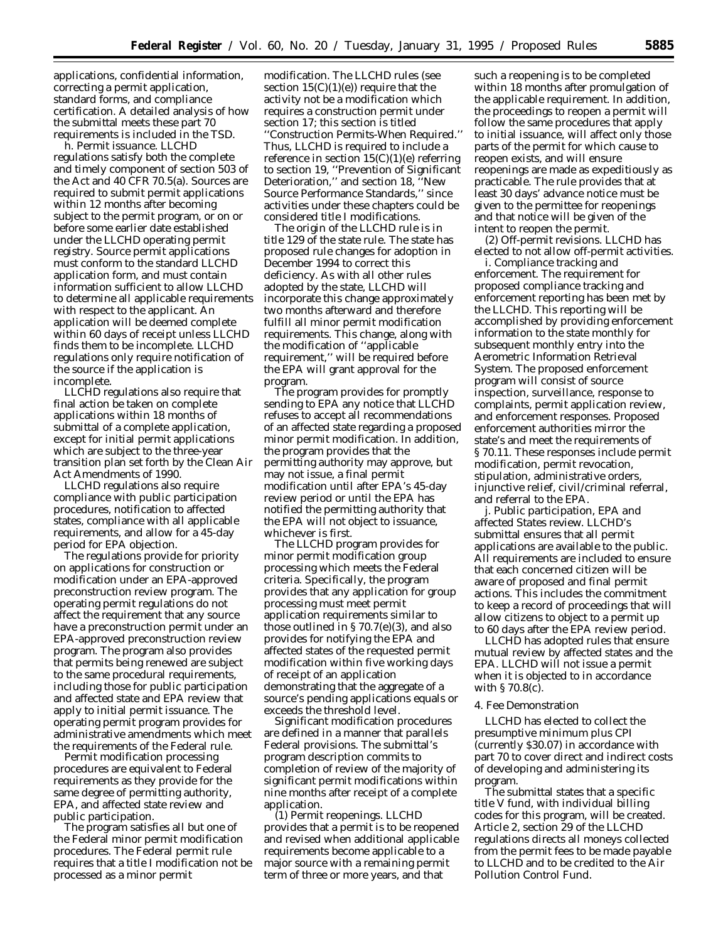applications, confidential information, correcting a permit application, standard forms, and compliance certification. A detailed analysis of how the submittal meets these part 70 requirements is included in the TSD.

*h. Permit issuance.* LLCHD regulations satisfy both the complete and timely component of section 503 of the Act and 40 CFR 70.5(a). Sources are required to submit permit applications within 12 months after becoming subject to the permit program, or on or before some earlier date established under the LLCHD operating permit registry. Source permit applications must conform to the standard LLCHD application form, and must contain information sufficient to allow LLCHD to determine all applicable requirements with respect to the applicant. An application will be deemed complete within 60 days of receipt unless LLCHD finds them to be incomplete. LLCHD regulations only require notification of the source if the application is incomplete.

LLCHD regulations also require that final action be taken on complete applications within 18 months of submittal of a complete application, except for initial permit applications which are subject to the three-year transition plan set forth by the Clean Air Act Amendments of 1990.

LLCHD regulations also require compliance with public participation procedures, notification to affected states, compliance with all applicable requirements, and allow for a 45-day period for EPA objection.

The regulations provide for priority on applications for construction or modification under an EPA-approved preconstruction review program. The operating permit regulations do not affect the requirement that any source have a preconstruction permit under an EPA-approved preconstruction review program. The program also provides that permits being renewed are subject to the same procedural requirements, including those for public participation and affected state and EPA review that apply to initial permit issuance. The operating permit program provides for administrative amendments which meet the requirements of the Federal rule.

Permit modification processing procedures are equivalent to Federal requirements as they provide for the same degree of permitting authority, EPA, and affected state review and public participation.

The program satisfies all but one of the Federal minor permit modification procedures. The Federal permit rule requires that a title I modification not be processed as a minor permit

modification. The LLCHD rules (see section  $15(C)(1)(e)$  require that the activity not be a modification which requires a construction permit under section 17; this section is titled ''Construction Permits-When Required.'' Thus, LLCHD is required to include a reference in section 15(C)(1)(e) referring to section 19, ''Prevention of Significant Deterioration,'' and section 18, ''New Source Performance Standards,'' since activities under these chapters could be considered title I modifications.

The origin of the LLCHD rule is in title 129 of the state rule. The state has proposed rule changes for adoption in December 1994 to correct this deficiency. As with all other rules adopted by the state, LLCHD will incorporate this change approximately two months afterward and therefore fulfill all minor permit modification requirements. This change, along with the modification of ''applicable requirement,'' will be required before the EPA will grant approval for the program.

The program provides for promptly sending to EPA any notice that LLCHD refuses to accept all recommendations of an affected state regarding a proposed minor permit modification. In addition, the program provides that the permitting authority may approve, but may not issue, a final permit modification until after EPA's 45-day review period or until the EPA has notified the permitting authority that the EPA will not object to issuance, whichever is first.

The LLCHD program provides for minor permit modification group processing which meets the Federal criteria. Specifically, the program provides that any application for group processing must meet permit application requirements similar to those outlined in  $\S 70.7(e)(3)$ , and also provides for notifying the EPA and affected states of the requested permit modification within five working days of receipt of an application demonstrating that the aggregate of a source's pending applications equals or exceeds the threshold level.

Significant modification procedures are defined in a manner that parallels Federal provisions. The submittal's program description commits to completion of review of the majority of significant permit modifications within nine months after receipt of a complete application.

*(1) Permit reopenings.* LLCHD provides that a permit is to be reopened and revised when additional applicable requirements become applicable to a major source with a remaining permit term of three or more years, and that

such a reopening is to be completed within 18 months after promulgation of the applicable requirement. In addition, the proceedings to reopen a permit will follow the same procedures that apply to initial issuance, will affect only those parts of the permit for which cause to reopen exists, and will ensure reopenings are made as expeditiously as practicable. The rule provides that at least 30 days' advance notice must be given to the permittee for reopenings and that notice will be given of the intent to reopen the permit.

*(2) Off-permit revisions.* LLCHD has elected to not allow off-permit activities.

*i. Compliance tracking and enforcement.* The requirement for proposed compliance tracking and enforcement reporting has been met by the LLCHD. This reporting will be accomplished by providing enforcement information to the state monthly for subsequent monthly entry into the Aerometric Information Retrieval System. The proposed enforcement program will consist of source inspection, surveillance, response to complaints, permit application review, and enforcement responses. Proposed enforcement authorities mirror the state's and meet the requirements of § 70.11. These responses include permit modification, permit revocation, stipulation, administrative orders, injunctive relief, civil/criminal referral, and referral to the EPA.

*j. Public participation, EPA and affected States review.* LLCHD's submittal ensures that all permit applications are available to the public. All requirements are included to ensure that each concerned citizen will be aware of proposed and final permit actions. This includes the commitment to keep a record of proceedings that will allow citizens to object to a permit up to 60 days after the EPA review period.

LLCHD has adopted rules that ensure mutual review by affected states and the EPA. LLCHD will not issue a permit when it is objected to in accordance with § 70.8(c).

### 4. Fee Demonstration

LLCHD has elected to collect the presumptive minimum plus CPI (currently \$30.07) in accordance with part 70 to cover direct and indirect costs of developing and administering its program.

The submittal states that a specific title V fund, with individual billing codes for this program, will be created. Article 2, section 29 of the LLCHD regulations directs all moneys collected from the permit fees to be made payable to LLCHD and to be credited to the Air Pollution Control Fund.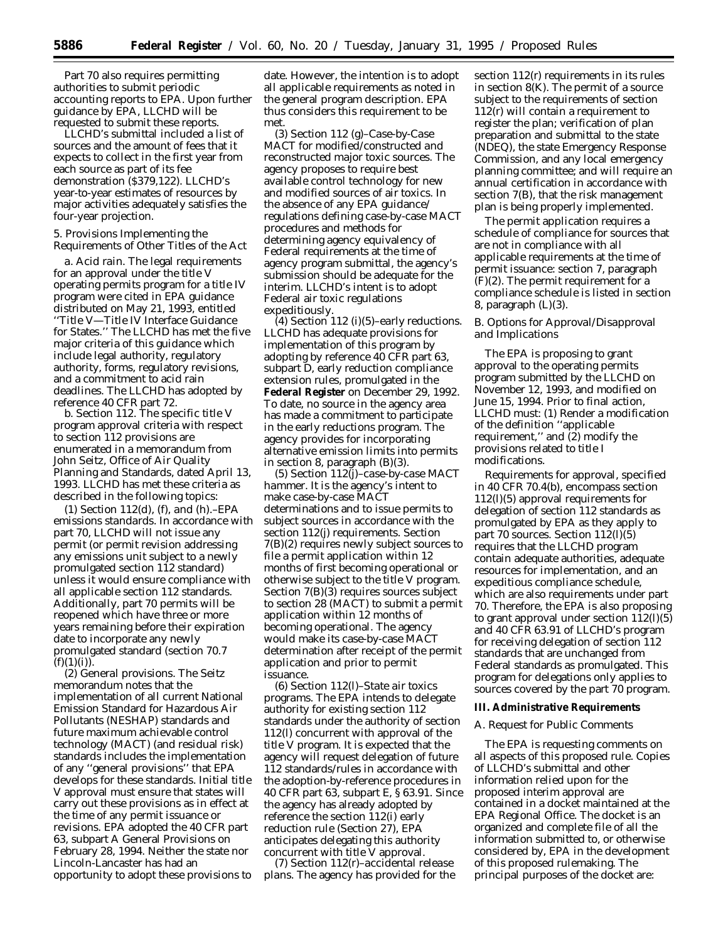Part 70 also requires permitting authorities to submit periodic accounting reports to EPA. Upon further guidance by EPA, LLCHD will be requested to submit these reports.

LLCHD's submittal included a list of sources and the amount of fees that it expects to collect in the first year from each source as part of its fee demonstration (\$379,122). LLCHD's year-to-year estimates of resources by major activities adequately satisfies the four-year projection.

5. Provisions Implementing the Requirements of Other Titles of the Act

*a. Acid rain.* The legal requirements for an approval under the title V operating permits program for a title IV program were cited in EPA guidance distributed on May 21, 1993, entitled ''Title V—Title IV Interface Guidance for States.'' The LLCHD has met the five major criteria of this guidance which include legal authority, regulatory authority, forms, regulatory revisions, and a commitment to acid rain deadlines. The LLCHD has adopted by reference 40 CFR part 72.

*b. Section 112.* The specific title V program approval criteria with respect to section 112 provisions are enumerated in a memorandum from John Seitz, Office of Air Quality Planning and Standards, dated April 13, 1993. LLCHD has met these criteria as described in the following topics:

*(1) Section 112(d), (f), and (h).–EPA emissions standards.* In accordance with part 70, LLCHD will not issue any permit (or permit revision addressing any emissions unit subject to a newly promulgated section 112 standard) unless it would ensure compliance with all applicable section 112 standards. Additionally, part 70 permits will be reopened which have three or more years remaining before their expiration date to incorporate any newly promulgated standard (section 70.7  $(f)(1)(i)).$ 

*(2) General provisions.* The Seitz memorandum notes that the implementation of all current National Emission Standard for Hazardous Air Pollutants (NESHAP) standards and future maximum achievable control technology (MACT) (and residual risk) standards includes the implementation of any ''general provisions'' that EPA develops for these standards. Initial title V approval must ensure that states will carry out these provisions as in effect at the time of any permit issuance or revisions. EPA adopted the 40 CFR part 63, subpart A General Provisions on February 28, 1994. Neither the state nor Lincoln-Lancaster has had an opportunity to adopt these provisions to date. However, the intention is to adopt all applicable requirements as noted in the general program description. EPA thus considers this requirement to be met.

*(3) Section 112 (g)–Case-by-Case MACT for modified/constructed and reconstructed major toxic sources.* The agency proposes to require best available control technology for new and modified sources of air toxics. In the absence of any EPA guidance/ regulations defining case-by-case MACT procedures and methods for determining agency equivalency of Federal requirements at the time of agency program submittal, the agency's submission should be adequate for the interim. LLCHD's intent is to adopt Federal air toxic regulations expeditiously.

*(4) Section 112 (i)(5)–early reductions.* LLCHD has adequate provisions for implementation of this program by adopting by reference 40 CFR part 63, subpart D, early reduction compliance extension rules, promulgated in the **Federal Register** on December 29, 1992. To date, no source in the agency area has made a commitment to participate in the early reductions program. The agency provides for incorporating alternative emission limits into permits in section 8, paragraph (B)(3).

*(5) Section 112(j)–case-by-case MACT hammer.* It is the agency's intent to make case-by-case MACT determinations and to issue permits to subject sources in accordance with the section 112(j) requirements. Section 7(B)(2) requires newly subject sources to file a permit application within 12 months of first becoming operational or otherwise subject to the title V program. Section 7(B)(3) requires sources subject to section 28 (MACT) to submit a permit application within 12 months of becoming operational. The agency would make its case-by-case MACT determination after receipt of the permit application and prior to permit issuance.

*(6) Section 112(l)–State air toxics programs.* The EPA intends to delegate authority for existing section 112 standards under the authority of section 112(l) concurrent with approval of the title V program. It is expected that the agency will request delegation of future 112 standards/rules in accordance with the adoption-by-reference procedures in 40 CFR part 63, subpart E, § 63.91. Since the agency has already adopted by reference the section 112(i) early reduction rule (Section 27), EPA anticipates delegating this authority concurrent with title V approval.

*(7) Section 112(r)–accidental release plans.* The agency has provided for the section 112(r) requirements in its rules in section 8(K). The permit of a source subject to the requirements of section 112(r) will contain a requirement to register the plan; verification of plan preparation and submittal to the state (NDEQ), the state Emergency Response Commission, and any local emergency planning committee; and will require an annual certification in accordance with section 7(B), that the risk management plan is being properly implemented.

The permit application requires a schedule of compliance for sources that are not in compliance with all applicable requirements at the time of permit issuance: section 7, paragraph (F)(2). The permit requirement for a compliance schedule is listed in section 8, paragraph (L)(3).

## *B. Options for Approval/Disapproval and Implications*

The EPA is proposing to grant approval to the operating permits program submitted by the LLCHD on November 12, 1993, and modified on June 15, 1994. Prior to final action, LLCHD must: (1) Render a modification of the definition ''applicable requirement," and  $(2)$  modify the provisions related to title I modifications.

Requirements for approval, specified in 40 CFR 70.4(b), encompass section 112(l)(5) approval requirements for delegation of section 112 standards as promulgated by EPA as they apply to part 70 sources. Section 112(l)(5) requires that the LLCHD program contain adequate authorities, adequate resources for implementation, and an expeditious compliance schedule, which are also requirements under part 70. Therefore, the EPA is also proposing to grant approval under section 112(l)(5) and 40 CFR 63.91 of LLCHD's program for receiving delegation of section 112 standards that are unchanged from Federal standards as promulgated. This program for delegations only applies to sources covered by the part 70 program.

#### **III. Administrative Requirements**

#### *A. Request for Public Comments*

The EPA is requesting comments on all aspects of this proposed rule. Copies of LLCHD's submittal and other information relied upon for the proposed interim approval are contained in a docket maintained at the EPA Regional Office. The docket is an organized and complete file of all the information submitted to, or otherwise considered by, EPA in the development of this proposed rulemaking. The principal purposes of the docket are: